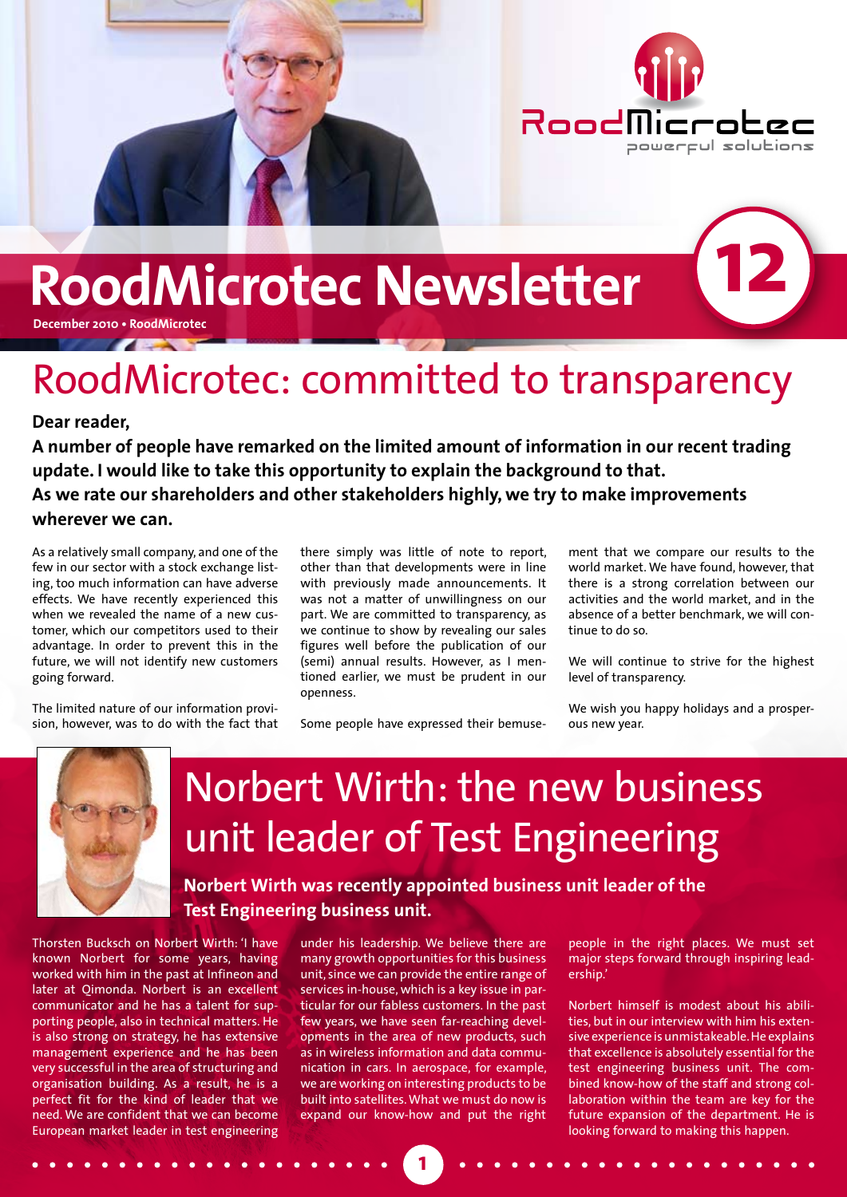

# **RoodMicrotec Newsletter**

**December 2010 • RoodMicrotec**

## RoodMicrotec: committed to transparency

#### **Dear reader,**

**A number of people have remarked on the limited amount of information in our recent trading update. I would like to take this opportunity to explain the background to that. As we rate our shareholders and other stakeholders highly, we try to make improvements wherever we can.**

As a relatively small company, and one of the few in our sector with a stock exchange listing, too much information can have adverse effects. We have recently experienced this when we revealed the name of a new customer, which our competitors used to their advantage. In order to prevent this in the future, we will not identify new customers going forward.

The limited nature of our information provision, however, was to do with the fact that

other than that developments were in line with previously made announcements. It was not a matter of unwillingness on our part. We are committed to transparency, as we continue to show by revealing our sales figures well before the publication of our (semi) annual results. However, as I mentioned earlier, we must be prudent in our openness.

there simply was little of note to report,

Some people have expressed their bemuse-

ment that we compare our results to the world market. We have found, however, that there is a strong correlation between our activities and the world market, and in the absence of a better benchmark, we will continue to do so.

**12**

We will continue to strive for the highest level of transparency.

We wish you happy holidays and a prosperous new year.



### Norbert Wirth: the new business unit leader of Test Engineering

**Norbert Wirth was recently appointed business unit leader of the Test Engineering business unit.** 

Thorsten Bucksch on Norbert Wirth: 'I have known Norbert for some years, having worked with him in the past at Infineon and later at Qimonda. Norbert is an excellent communicator and he has a talent for supporting people, also in technical matters. He is also strong on strategy, he has extensive management experience and he has been very successful in the area of structuring and organisation building. As a result, he is a perfect fit for the kind of leader that we need. We are confident that we can become European market leader in test engineering

under his leadership. We believe there are many growth opportunities for this business unit, since we can provide the entire range of services in-house, which is a key issue in particular for our fabless customers. In the past few years, we have seen far-reaching developments in the area of new products, such as in wireless information and data communication in cars. In aerospace, for example, we are working on interesting products to be built into satellites. What we must do now is expand our know-how and put the right

people in the right places. We must set .<br>major steps forward through inspiring leadership.'

Norbert himself is modest about his abilities, but in our interview with him his extensive experience is unmistakeable. He explains that excellence is absolutely essential for the test engineering business unit. The combined know-how of the staff and strong collaboration within the team are key for the future expansion of the department. He is looking forward to making this happen.

**1**